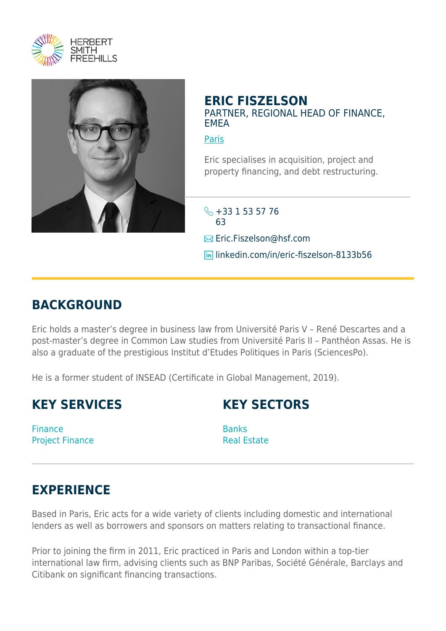



## **ERIC FISZELSON** PARTNER, REGIONAL HEAD OF FINANCE, EMEA

**[Paris](https://www.herbertsmithfreehills.com/lang-de/where-we-work/paris)** 

Eric specialises in acquisition, project and property financing, and debt restructuring.

 $\leftarrow +33$  1 53 57 76 63 **Eric.Fiszelson@hsf.com lin** linkedin.com/in/eric-fiszelson-8133b56

## **BACKGROUND**

Eric holds a master's degree in business law from Université Paris V – René Descartes and a post-master's degree in Common Law studies from Université Paris II – Panthéon Assas. He is also a graduate of the prestigious Institut d'Etudes Politiques in Paris (SciencesPo).

He is a former student of INSEAD (Certificate in Global Management, 2019).

## **KEY SERVICES**

**KEY SECTORS**

Finance Project Finance

**Banks** Real Estate

## **EXPERIENCE**

Based in Paris, Eric acts for a wide variety of clients including domestic and international lenders as well as borrowers and sponsors on matters relating to transactional finance.

Prior to joining the firm in 2011, Eric practiced in Paris and London within a top-tier international law firm, advising clients such as BNP Paribas, Société Générale, Barclays and Citibank on significant financing transactions.